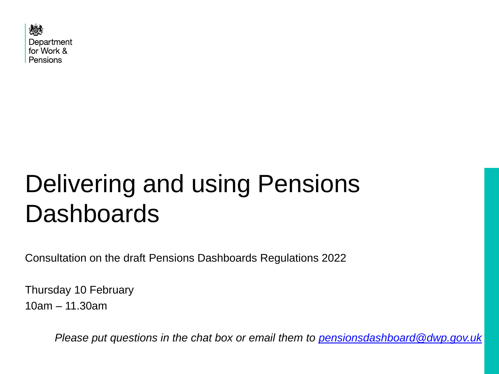

# Delivering and using Pensions **Dashboards**

Consultation on the draft Pensions Dashboards Regulations 2022

Thursday 10 February 10am – 11.30am

*Please put questions in the chat box or email them to [pensionsdashboard@dwp.gov.uk](mailto:pensionsdashboard@dwp.gov.uk)*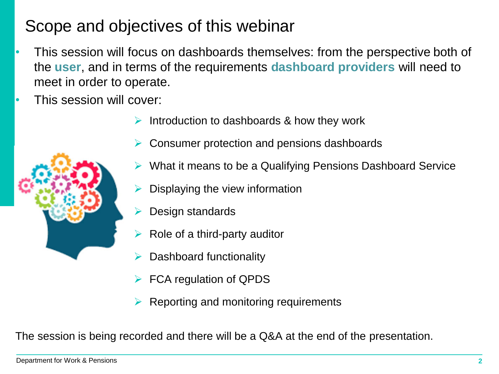## Scope and objectives of this webinar

- This session will focus on dashboards themselves: from the perspective both of the **user**, and in terms of the requirements **dashboard providers** will need to meet in order to operate.
- This session will cover:
	- ➢ Introduction to dashboards & how they work
	- ➢ Consumer protection and pensions dashboards
		- ➢ What it means to be a Qualifying Pensions Dashboard Service
		- ➢ Displaying the view information
		- Design standards
	- $\triangleright$  Role of a third-party auditor
	- Dashboard functionality
	- FCA regulation of QPDS
	- ➢ Reporting and monitoring requirements

The session is being recorded and there will be a Q&A at the end of the presentation.

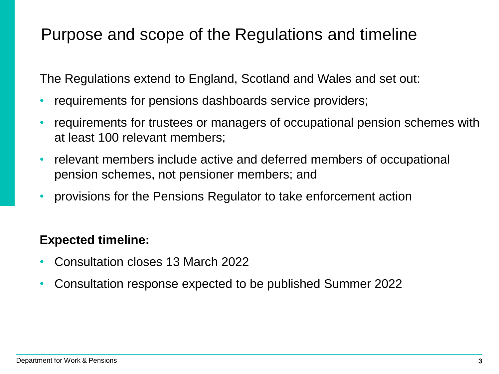## Purpose and scope of the Regulations and timeline

The Regulations extend to England, Scotland and Wales and set out:

- requirements for pensions dashboards service providers;
- requirements for trustees or managers of occupational pension schemes with at least 100 relevant members;
- relevant members include active and deferred members of occupational pension schemes, not pensioner members; and
- provisions for the Pensions Regulator to take enforcement action

### **Expected timeline:**

- Consultation closes 13 March 2022
- Consultation response expected to be published Summer 2022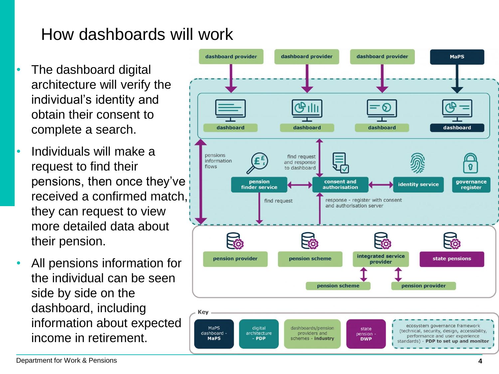## How dashboards will work

- The dashboard digital architecture will verify the individual's identity and obtain their consent to complete a search.
- Individuals will make a request to find their pensions, then once they've received a confirmed match, they can request to view more detailed data about their pension.
- All pensions information for the individual can be seen side by side on the dashboard, including information about expected income in retirement.

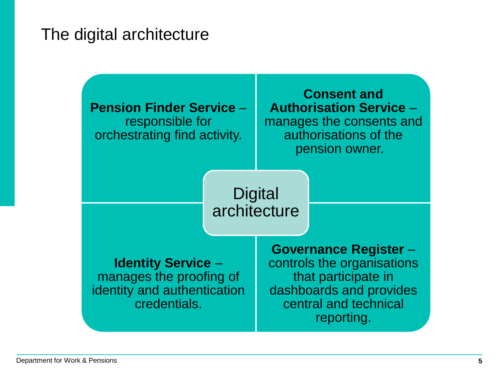### The digital architecture

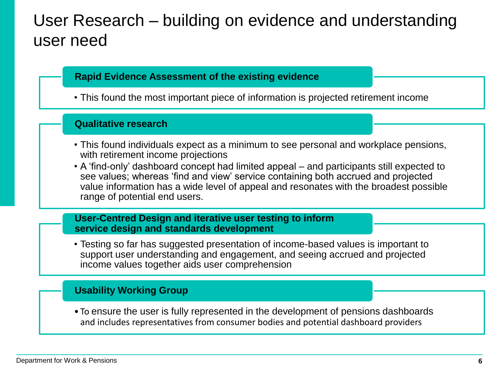### User Research – building on evidence and understanding user need

#### **Rapid Evidence Assessment of the existing evidence**

• This found the most important piece of information is projected retirement income

#### **Qualitative research**

- This found individuals expect as a minimum to see personal and workplace pensions, with retirement income projections
- A 'find-only' dashboard concept had limited appeal and participants still expected to see values; whereas 'find and view' service containing both accrued and projected value information has a wide level of appeal and resonates with the broadest possible range of potential end users.

#### **User-Centred Design and iterative user testing to inform service design and standards development**

• Testing so far has suggested presentation of income-based values is important to support user understanding and engagement, and seeing accrued and projected income values together aids user comprehension

#### **Usability Working Group**

• To ensure the user is fully represented in the development of pensions dashboards and includes representatives from consumer bodies and potential dashboard providers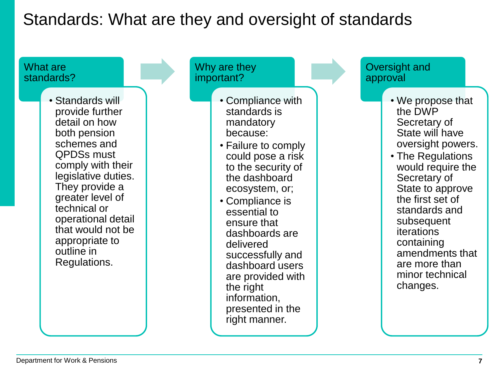## Standards: What are they and oversight of standards

What are standards?

> • Standards will provide further detail on how both pension schemes and QPDSs must comply with their legislative duties. They provide a greater level of technical or operational detail that would not be appropriate to outline in Regulations.

Why are they important?

- Compliance with standards is mandatory because:
- Failure to comply could pose a risk to the security of the dashboard ecosystem, or;
- Compliance is essential to ensure that dashboards are delivered successfully and dashboard users are provided with the right information, presented in the right manner.

Oversight and approval

- We propose that the DWP Secretary of State will have oversight powers.
- The Regulations would require the Secretary of State to approve the first set of standards and subsequent iterations containing amendments that are more than minor technical changes.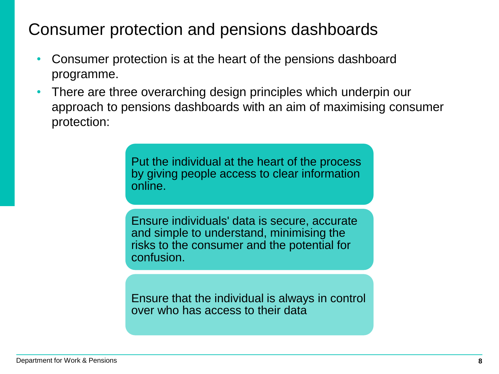## Consumer protection and pensions dashboards

- Consumer protection is at the heart of the pensions dashboard programme.
- There are three overarching design principles which underpin our approach to pensions dashboards with an aim of maximising consumer protection:

Put the individual at the heart of the process by giving people access to clear information online.

Ensure individuals' data is secure, accurate and simple to understand, minimising the risks to the consumer and the potential for confusion.

Ensure that the individual is always in control over who has access to their data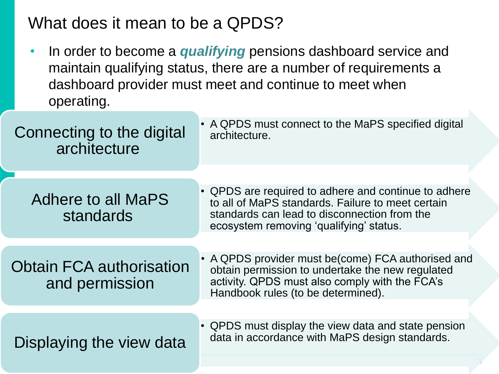### What does it mean to be a QPDS?

• In order to become a *qualifying* pensions dashboard service and maintain qualifying status, there are a number of requirements a dashboard provider must meet and continue to meet when operating.

| Connecting to the digital<br>architecture         | • A QPDS must connect to the MaPS specified digital<br>architecture.                                                                                                                                 |  |
|---------------------------------------------------|------------------------------------------------------------------------------------------------------------------------------------------------------------------------------------------------------|--|
|                                                   |                                                                                                                                                                                                      |  |
| <b>Adhere to all MaPS</b><br>standards            | • QPDS are required to adhere and continue to adhere<br>to all of MaPS standards. Failure to meet certain<br>standards can lead to disconnection from the<br>ecosystem removing 'qualifying' status. |  |
|                                                   |                                                                                                                                                                                                      |  |
| <b>Obtain FCA authorisation</b><br>and permission | • A QPDS provider must be(come) FCA authorised and<br>obtain permission to undertake the new regulated<br>activity. QPDS must also comply with the FCA's<br>Handbook rules (to be determined).       |  |
|                                                   |                                                                                                                                                                                                      |  |
| Displaying the view data                          | • QPDS must display the view data and state pension<br>data in accordance with MaPS design standards.                                                                                                |  |
|                                                   |                                                                                                                                                                                                      |  |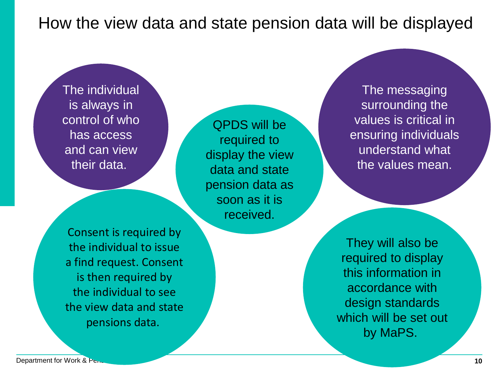How the view data and state pension data will be displayed

The individual is always in control of who has access and can view their data.

QPDS will be required to display the view data and state pension data as soon as it is received.

Consent is required by the individual to issue a find request. Consent is then required by the individual to see the view data and state pensions data.

They will also be required to display this information in accordance with design standards which will be set out by MaPS.

The messaging

surrounding the values is critical in

ensuring individuals understand what

the values mean.

**Department for Work & Pensions and Contract Contract Contract Contract Contract Contract Contract Contract Contract Contract Contract Contract Contract Contract Contract Contract Contract Contract Contract Contract Contra**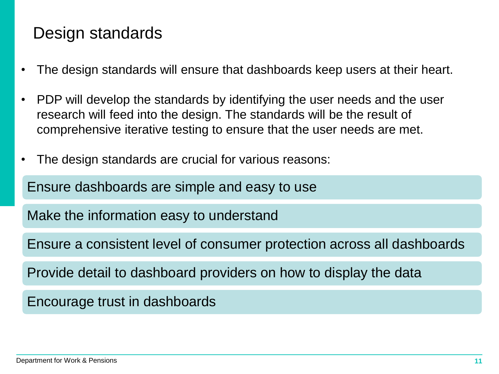### Design standards

- The design standards will ensure that dashboards keep users at their heart.
- PDP will develop the standards by identifying the user needs and the user research will feed into the design. The standards will be the result of comprehensive iterative testing to ensure that the user needs are met.
- The design standards are crucial for various reasons:

Ensure dashboards are simple and easy to use

Make the information easy to understand

Ensure a consistent level of consumer protection across all dashboards

Provide detail to dashboard providers on how to display the data

Encourage trust in dashboards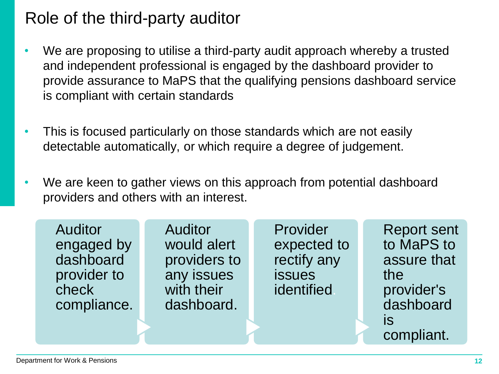### Role of the third-party auditor

- We are proposing to utilise a third-party audit approach whereby a trusted and independent professional is engaged by the dashboard provider to provide assurance to MaPS that the qualifying pensions dashboard service is compliant with certain standards
- This is focused particularly on those standards which are not easily detectable automatically, or which require a degree of judgement.
- We are keen to gather views on this approach from potential dashboard providers and others with an interest.

| <b>Auditor</b><br>engaged by<br>dashboard<br>provider to<br>check<br>compliance. | <b>Auditor</b><br>would alert<br>providers to<br>any issues<br>with their<br>dashboard. | Provider<br>expected to<br>rectify any<br><b>issues</b><br>identified | <b>Report sent</b><br>to MaPS to<br>assure that<br>the<br>provider's<br>dashboard<br><b>IS</b> |
|----------------------------------------------------------------------------------|-----------------------------------------------------------------------------------------|-----------------------------------------------------------------------|------------------------------------------------------------------------------------------------|
|                                                                                  |                                                                                         |                                                                       | compliant.                                                                                     |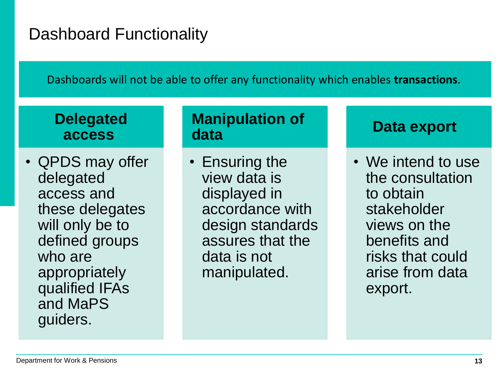## Dashboard Functionality

Dashboards will not be able to offer any functionality which enables **transactions**.

### **Delegated access**

• QPDS may offer delegated access and these delegates will only be to defined groups who are appropriately qualified IFAs and MaPS guiders.

### **Manipulation of data**

• Ensuring the view data is displayed in accordance with design standards assures that the data is not manipulated.

### **Data export**

• We intend to use the consultation to obtain stakeholder views on the benefits and risks that could arise from data export.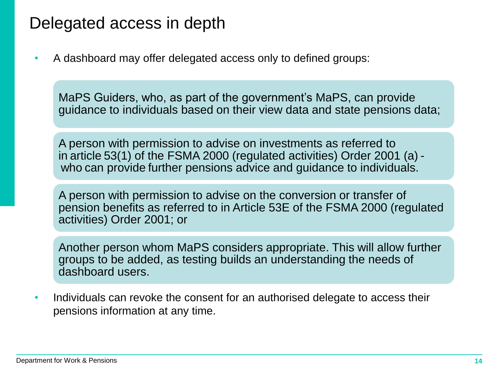### Delegated access in depth

• A dashboard may offer delegated access only to defined groups:

MaPS Guiders, who, as part of the government's MaPS, can provide guidance to individuals based on their view data and state pensions data;

A person with permission to advise on investments as referred to in article 53(1) of the FSMA 2000 (regulated activities) Order 2001 (a) who can provide further pensions advice and guidance to individuals.

A person with permission to advise on the conversion or transfer of pension benefits as referred to in Article 53E of the FSMA 2000 (regulated activities) Order 2001; or

Another person whom MaPS considers appropriate. This will allow further groups to be added, as testing builds an understanding the needs of dashboard users.

• Individuals can revoke the consent for an authorised delegate to access their pensions information at any time.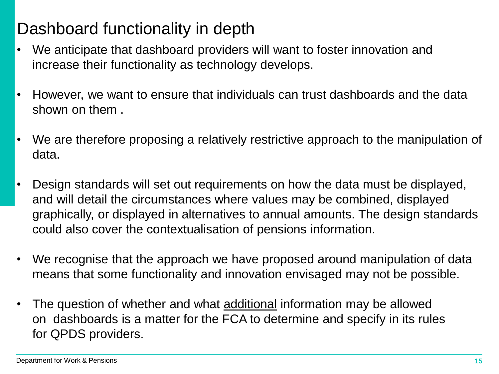## Dashboard functionality in depth

- We anticipate that dashboard providers will want to foster innovation and increase their functionality as technology develops.
- However, we want to ensure that individuals can trust dashboards and the data shown on them .
- We are therefore proposing a relatively restrictive approach to the manipulation of data.
- Design standards will set out requirements on how the data must be displayed, and will detail the circumstances where values may be combined, displayed graphically, or displayed in alternatives to annual amounts. The design standards could also cover the contextualisation of pensions information.
- We recognise that the approach we have proposed around manipulation of data means that some functionality and innovation envisaged may not be possible.
- The question of whether and what additional information may be allowed on dashboards is a matter for the FCA to determine and specify in its rules for QPDS providers.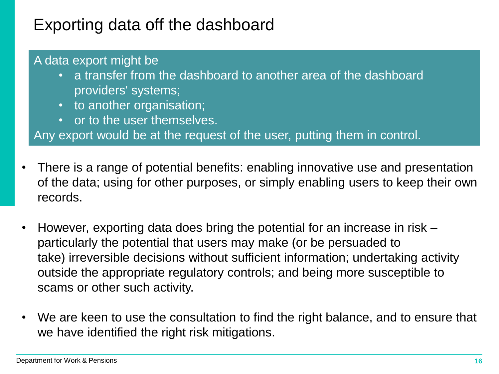## Exporting data off the dashboard

#### A data export might be

- a transfer from the dashboard to another area of the dashboard providers' systems;
- to another organisation;
- or to the user themselves.

Any export would be at the request of the user, putting them in control.

- There is a range of potential benefits: enabling innovative use and presentation of the data; using for other purposes, or simply enabling users to keep their own records.
- However, exporting data does bring the potential for an increase in risk particularly the potential that users may make (or be persuaded to take) irreversible decisions without sufficient information; undertaking activity outside the appropriate regulatory controls; and being more susceptible to scams or other such activity.
- We are keen to use the consultation to find the right balance, and to ensure that we have identified the right risk mitigations.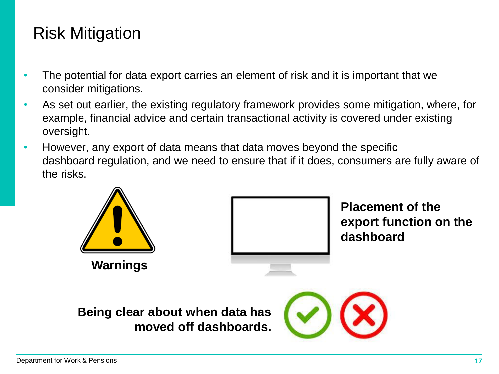## Risk Mitigation

- The potential for data export carries an element of risk and it is important that we consider mitigations.
- As set out earlier, the existing regulatory framework provides some mitigation, where, for example, financial advice and certain transactional activity is covered under existing oversight.
- However, any export of data means that data moves beyond the specific dashboard regulation, and we need to ensure that if it does, consumers are fully aware of the risks.





**Placement of the export function on the dashboard**

**Being clear about when data has moved off dashboards.**

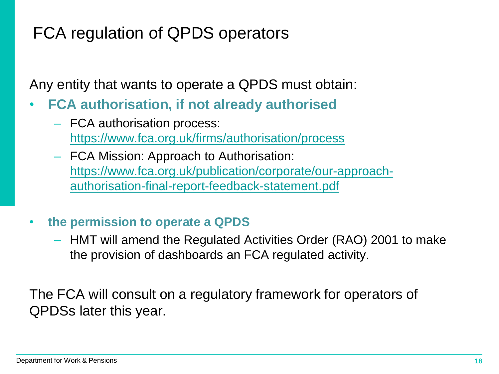## FCA regulation of QPDS operators

Any entity that wants to operate a QPDS must obtain:

- **FCA authorisation, if not already authorised**
	- FCA authorisation process: <https://www.fca.org.uk/firms/authorisation/process>
	- FCA Mission: Approach to Authorisation: [https://www.fca.org.uk/publication/corporate/our-approach](https://www.fca.org.uk/publication/corporate/our-approach-authorisation-final-report-feedback-statement.pdf)authorisation-final-report-feedback-statement.pdf

### • **the permission to operate a QPDS**

– HMT will amend the Regulated Activities Order (RAO) 2001 to make the provision of dashboards an FCA regulated activity.

The FCA will consult on a regulatory framework for operators of QPDSs later this year.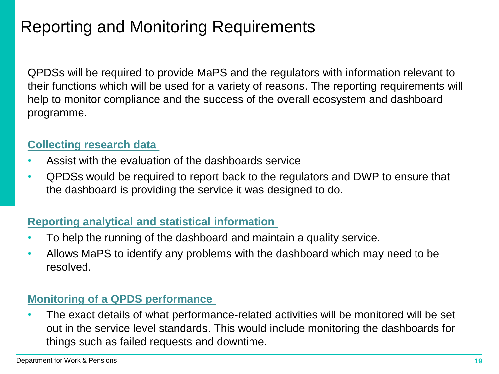## Reporting and Monitoring Requirements

QPDSs will be required to provide MaPS and the regulators with information relevant to their functions which will be used for a variety of reasons. The reporting requirements will help to monitor compliance and the success of the overall ecosystem and dashboard programme.

#### **Collecting research data**

- Assist with the evaluation of the dashboards service
- QPDSs would be required to report back to the regulators and DWP to ensure that the dashboard is providing the service it was designed to do.

#### **Reporting analytical and statistical information**

- To help the running of the dashboard and maintain a quality service.
- Allows MaPS to identify any problems with the dashboard which may need to be resolved.

#### **Monitoring of a QPDS performance**

• The exact details of what performance-related activities will be monitored will be set out in the service level standards. This would include monitoring the dashboards for things such as failed requests and downtime.